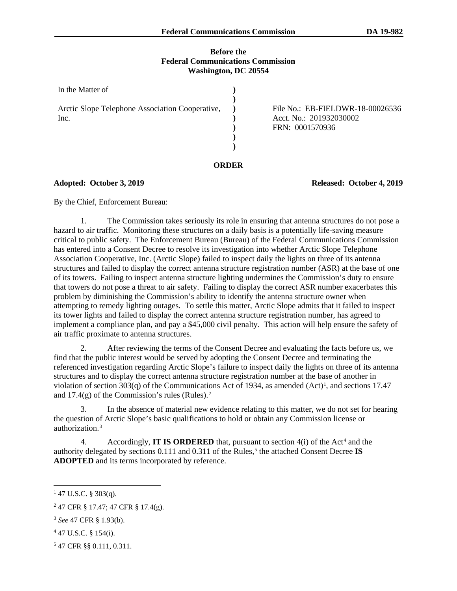# **Before the Federal Communications Commission Washington, DC 20554**

| In the Matter of                                        |                                                                                |
|---------------------------------------------------------|--------------------------------------------------------------------------------|
| Arctic Slope Telephone Association Cooperative,<br>Inc. | File No.: EB-FIELDWR-18-00026536<br>Acct. No.: 201932030002<br>FRN: 0001570936 |
|                                                         |                                                                                |

#### **ORDER**

# **Adopted: October 3, 2019 Released: October 4, 2019**

By the Chief, Enforcement Bureau:

1. The Commission takes seriously its role in ensuring that antenna structures do not pose a hazard to air traffic. Monitoring these structures on a daily basis is a potentially life-saving measure critical to public safety. The Enforcement Bureau (Bureau) of the Federal Communications Commission has entered into a Consent Decree to resolve its investigation into whether Arctic Slope Telephone Association Cooperative, Inc. (Arctic Slope) failed to inspect daily the lights on three of its antenna structures and failed to display the correct antenna structure registration number (ASR) at the base of one of its towers. Failing to inspect antenna structure lighting undermines the Commission's duty to ensure that towers do not pose a threat to air safety. Failing to display the correct ASR number exacerbates this problem by diminishing the Commission's ability to identify the antenna structure owner when attempting to remedy lighting outages. To settle this matter, Arctic Slope admits that it failed to inspect its tower lights and failed to display the correct antenna structure registration number, has agreed to implement a compliance plan, and pay a \$45,000 civil penalty. This action will help ensure the safety of air traffic proximate to antenna structures.

2. After reviewing the terms of the Consent Decree and evaluating the facts before us, we find that the public interest would be served by adopting the Consent Decree and terminating the referenced investigation regarding Arctic Slope's failure to inspect daily the lights on three of its antenna structures and to display the correct antenna structure registration number at the base of another in violation of section 303(q) of the Communications Act of [1](#page-0-0)934, as amended (Act)<sup>1</sup>, and sections 17.47 and  $17.4(g)$  of the Commission's rules (Rules).<sup>[2](#page-0-1)</sup>

3. In the absence of material new evidence relating to this matter, we do not set for hearing the question of Arctic Slope's basic qualifications to hold or obtain any Commission license or authorization.[3](#page-0-2)

[4](#page-0-3). Accordingly, **IT IS ORDERED** that, pursuant to section 4(i) of the Act<sup>4</sup> and the authority delegated by sections 0.111 and 0.311 of the Rules,<sup>[5](#page-0-4)</sup> the attached Consent Decree **IS ADOPTED** and its terms incorporated by reference.

- <span id="page-0-3"></span><sup>4</sup> 47 U.S.C. § 154(i).
- <span id="page-0-4"></span><sup>5</sup> 47 CFR §§ 0.111, 0.311.

<span id="page-0-0"></span> $147$  U.S.C. § 303(q).

<span id="page-0-1"></span> $^{2}$  47 CFR § 17.47; 47 CFR § 17.4(g).

<span id="page-0-2"></span><sup>3</sup> *See* 47 CFR § 1.93(b).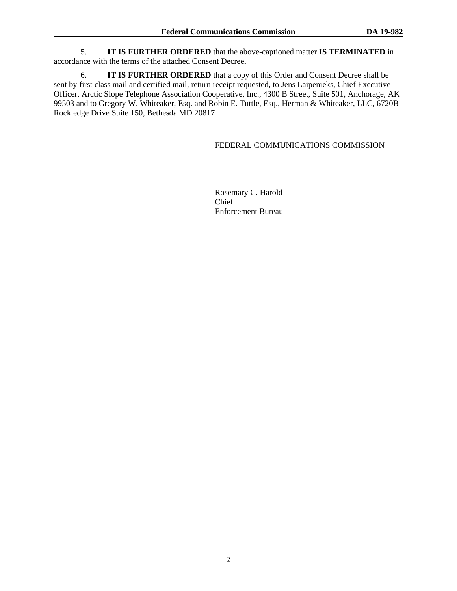5. **IT IS FURTHER ORDERED** that the above-captioned matter **IS TERMINATED** in accordance with the terms of the attached Consent Decree**.**

6. **IT IS FURTHER ORDERED** that a copy of this Order and Consent Decree shall be sent by first class mail and certified mail, return receipt requested, to Jens Laipenieks, Chief Executive Officer, Arctic Slope Telephone Association Cooperative, Inc., 4300 B Street, Suite 501, Anchorage, AK 99503 and to Gregory W. Whiteaker, Esq. and Robin E. Tuttle, Esq., Herman & Whiteaker, LLC, 6720B Rockledge Drive Suite 150, Bethesda MD 20817

# FEDERAL COMMUNICATIONS COMMISSION

Rosemary C. Harold Chief Enforcement Bureau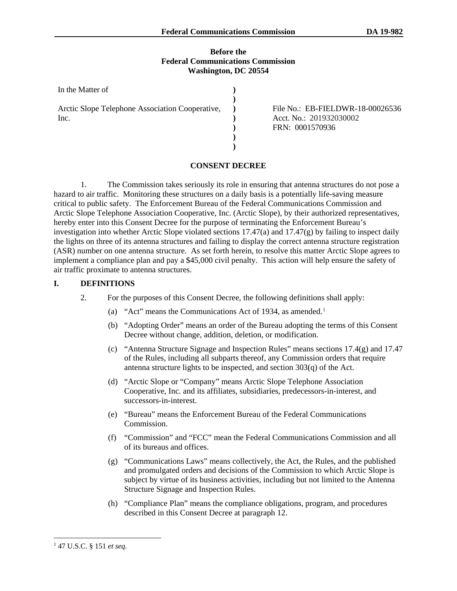### **Before the Federal Communications Commission Washington, DC 20554**

| In the Matter of                                        |  |
|---------------------------------------------------------|--|
| Arctic Slope Telephone Association Cooperative,<br>Inc. |  |
|                                                         |  |

File No.: EB-FIELDWR-18-00026536 Acct. No.: 201932030002 FRN: 0001570936

# **CONSENT DECREE**

1. The Commission takes seriously its role in ensuring that antenna structures do not pose a hazard to air traffic. Monitoring these structures on a daily basis is a potentially life-saving measure critical to public safety. The Enforcement Bureau of the Federal Communications Commission and Arctic Slope Telephone Association Cooperative, Inc. (Arctic Slope), by their authorized representatives, hereby enter into this Consent Decree for the purpose of terminating the Enforcement Bureau's investigation into whether Arctic Slope violated sections  $17.47(a)$  and  $17.47(g)$  by failing to inspect daily the lights on three of its antenna structures and failing to display the correct antenna structure registration (ASR) number on one antenna structure. As set forth herein, to resolve this matter Arctic Slope agrees to implement a compliance plan and pay a \$45,000 civil penalty. This action will help ensure the safety of air traffic proximate to antenna structures.

# **I. DEFINITIONS**

- 2. For the purposes of this Consent Decree, the following definitions shall apply:
	- (a) "Act" means the Communications Act of 1934, as amended. [1](#page-2-0)
	- (b) "Adopting Order" means an order of the Bureau adopting the terms of this Consent Decree without change, addition, deletion, or modification.
	- (c) "Antenna Structure Signage and Inspection Rules" means sections 17.4(g) and 17.47 of the Rules, including all subparts thereof, any Commission orders that require antenna structure lights to be inspected, and section 303(q) of the Act.
	- (d) "Arctic Slope or "Company" means Arctic Slope Telephone Association Cooperative, Inc. and its affiliates, subsidiaries, predecessors-in-interest, and successors-in-interest.
	- (e) "Bureau" means the Enforcement Bureau of the Federal Communications Commission.
	- (f) "Commission" and "FCC" mean the Federal Communications Commission and all of its bureaus and offices.
	- (g) "Communications Laws" means collectively, the Act, the Rules, and the published and promulgated orders and decisions of the Commission to which Arctic Slope is subject by virtue of its business activities, including but not limited to the Antenna Structure Signage and Inspection Rules.
	- (h) "Compliance Plan" means the compliance obligations, program, and procedures described in this Consent Decree at paragraph [12.](#page-4-0)

<span id="page-2-0"></span> <sup>1</sup> 47 U.S.C. § <sup>151</sup>*et seq.*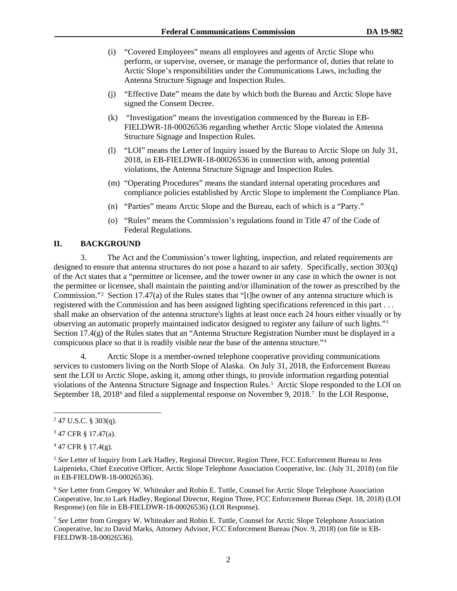- (i) "Covered Employees" means all employees and agents of Arctic Slope who perform, or supervise, oversee, or manage the performance of, duties that relate to Arctic Slope's responsibilities under the Communications Laws, including the Antenna Structure Signage and Inspection Rules.
- (j) "Effective Date" means the date by which both the Bureau and Arctic Slope have signed the Consent Decree.
- (k) "Investigation" means the investigation commenced by the Bureau in EB-FIELDWR-18-00026536 regarding whether Arctic Slope violated the Antenna Structure Signage and Inspection Rules.
- (l) "LOI" means the Letter of Inquiry issued by the Bureau to Arctic Slope on July 31, 2018, in EB-FIELDWR-18-00026536 in connection with, among potential violations, the Antenna Structure Signage and Inspection Rules.
- (m) "Operating Procedures" means the standard internal operating procedures and compliance policies established by Arctic Slope to implement the Compliance Plan.
- (n) "Parties" means Arctic Slope and the Bureau, each of which is a "Party."
- (o) "Rules" means the Commission's regulations found in Title 47 of the Code of Federal Regulations.

# **II. BACKGROUND**

3. The Act and the Commission's tower lighting, inspection, and related requirements are designed to ensure that antenna structures do not pose a hazard to air safety. Specifically, section 303(q) of the Act states that a "permittee or licensee, and the tower owner in any case in which the owner is not the permittee or licensee, shall maintain the painting and/or illumination of the tower as prescribed by the Commission."[2](#page-3-0) Section 17.47(a) of the Rules states that "[t]he owner of any antenna structure which is registered with the Commission and has been assigned lighting specifications referenced in this part . . . shall make an observation of the antenna structure's lights at least once each 24 hours either visually or by observing an automatic properly maintained indicator designed to register any failure of such lights."[3](#page-3-1) Section 17.4(g) of the Rules states that an "Antenna Structure Registration Number must be displayed in a conspicuous place so that it is readily visible near the base of the antenna structure."[4](#page-3-2)

<span id="page-3-6"></span>4. Arctic Slope is a member-owned telephone cooperative providing communications services to customers living on the North Slope of Alaska. On July 31, 2018, the Enforcement Bureau sent the LOI to Arctic Slope, asking it, among other things, to provide information regarding potential violations of the Antenna Structure Signage and Inspection Rules. [5](#page-3-3) Arctic Slope responded to the LOI on September 18, 2018<sup>[6](#page-3-4)</sup> and filed a supplemental response on November 9, 2018.<sup>[7](#page-3-5)</sup> In the LOI Response,

<span id="page-3-4"></span><sup>6</sup> *See* Letter from Gregory W. Whiteaker and Robin E. Tuttle, Counsel for Arctic Slope Telephone Association Cooperative, Inc.to Lark Hadley, Regional Director, Region Three, FCC Enforcement Bureau (Sept. 18, 2018) (LOI Response) (on file in EB-FIELDWR-18-00026536) (LOI Response).

<span id="page-3-0"></span> $2$  47 U.S.C. § 303(q).

<span id="page-3-1"></span><sup>3</sup> 47 CFR § 17.47(a).

<span id="page-3-2"></span> $447$  CFR § 17.4(g).

<span id="page-3-3"></span><sup>&</sup>lt;sup>5</sup> See Letter of Inquiry from Lark Hadley, Regional Director, Region Three, FCC Enforcement Bureau to Jens Laipenieks, Chief Executive Officer, Arctic Slope Telephone Association Cooperative, Inc. (July 31, 2018) (on file in EB-FIELDWR-18-00026536).

<span id="page-3-5"></span><sup>7</sup> *See* Letter from Gregory W. Whiteaker and Robin E. Tuttle, Counsel for Arctic Slope Telephone Association Cooperative, Inc.to David Marks, Attorney Advisor, FCC Enforcement Bureau (Nov. 9, 2018) (on file in EB-FIELDWR-18-00026536).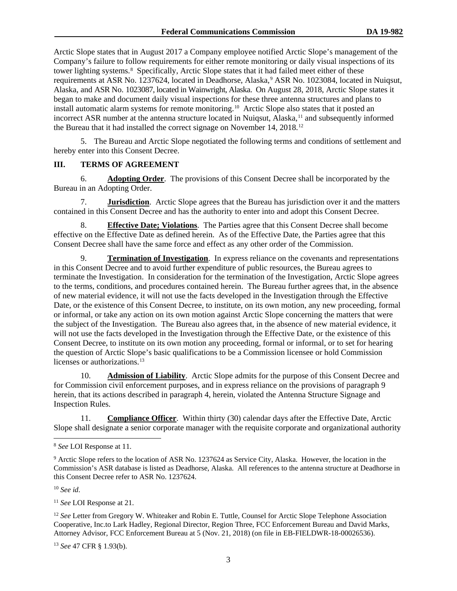<span id="page-4-0"></span>Arctic Slope states that in August 2017 a Company employee notified Arctic Slope's management of the Company's failure to follow requirements for either remote monitoring or daily visual inspections of its tower lighting systems.<sup>[8](#page-4-2)</sup> Specifically, Arctic Slope states that it had failed meet either of these requirements at ASR No. 1237624, located in Deadhorse, Alaska, <sup>[9](#page-4-3)</sup> ASR No. 1023084, located in Nuiqsut, Alaska, and ASR No. 1023087, located in Wainwright, Alaska. On August 28, 2018, Arctic Slope states it began to make and document daily visual inspections for these three antenna structures and plans to install automatic alarm systems for remote monitoring. [10](#page-4-4) Arctic Slope also states that it posted an incorrect ASR number at the antenna structure located in Nuiqsut, Alaska,<sup>[11](#page-4-5)</sup> and subsequently informed the Bureau that it had installed the correct signage on November 14, 2018.[12](#page-4-6)

5. The Bureau and Arctic Slope negotiated the following terms and conditions of settlement and hereby enter into this Consent Decree.

# **III. TERMS OF AGREEMENT**

6. **Adopting Order**. The provisions of this Consent Decree shall be incorporated by the Bureau in an Adopting Order.

7. **Jurisdiction**. Arctic Slope agrees that the Bureau has jurisdiction over it and the matters contained in this Consent Decree and has the authority to enter into and adopt this Consent Decree.

8. **Effective Date; Violations**. The Parties agree that this Consent Decree shall become effective on the Effective Date as defined herein. As of the Effective Date, the Parties agree that this Consent Decree shall have the same force and effect as any other order of the Commission.

<span id="page-4-1"></span>9. **Termination of Investigation**. In express reliance on the covenants and representations in this Consent Decree and to avoid further expenditure of public resources, the Bureau agrees to terminate the Investigation. In consideration for the termination of the Investigation, Arctic Slope agrees to the terms, conditions, and procedures contained herein. The Bureau further agrees that, in the absence of new material evidence, it will not use the facts developed in the Investigation through the Effective Date, or the existence of this Consent Decree, to institute, on its own motion, any new proceeding, formal or informal, or take any action on its own motion against Arctic Slope concerning the matters that were the subject of the Investigation. The Bureau also agrees that, in the absence of new material evidence, it will not use the facts developed in the Investigation through the Effective Date, or the existence of this Consent Decree, to institute on its own motion any proceeding, formal or informal, or to set for hearing the question of Arctic Slope's basic qualifications to be a Commission licensee or hold Commission licenses or authorizations.<sup>[13](#page-4-7)</sup>

10. **Admission of Liability**. Arctic Slope admits for the purpose of this Consent Decree and for Commission civil enforcement purposes, and in express reliance on the provisions of paragraph [9](#page-4-1) herein, that its actions described in paragraph [4,](#page-3-6) herein, violated the Antenna Structure Signage and Inspection Rules.

<span id="page-4-8"></span>11. **Compliance Officer**. Within thirty (30) calendar days after the Effective Date, Arctic Slope shall designate a senior corporate manager with the requisite corporate and organizational authority

<span id="page-4-4"></span><sup>10</sup> *See id*.

<span id="page-4-5"></span><sup>11</sup> *See* LOI Response at 21.

<span id="page-4-6"></span><sup>12</sup> See Letter from Gregory W. Whiteaker and Robin E. Tuttle, Counsel for Arctic Slope Telephone Association Cooperative, Inc.to Lark Hadley, Regional Director, Region Three, FCC Enforcement Bureau and David Marks, Attorney Advisor, FCC Enforcement Bureau at 5 (Nov. 21, 2018) (on file in EB-FIELDWR-18-00026536).

<span id="page-4-7"></span><sup>13</sup> *See* 47 CFR § 1.93(b).

<span id="page-4-2"></span> <sup>8</sup> *See* LOI Response at 11.

<span id="page-4-3"></span><sup>&</sup>lt;sup>9</sup> Arctic Slope refers to the location of ASR No. 1237624 as Service City, Alaska. However, the location in the Commission's ASR database is listed as Deadhorse, Alaska. All references to the antenna structure at Deadhorse in this Consent Decree refer to ASR No. 1237624.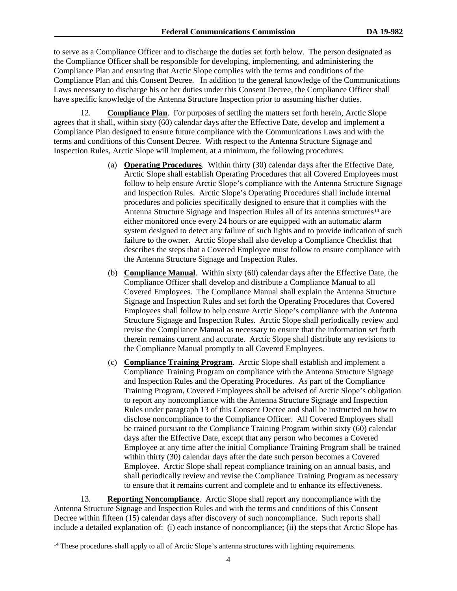to serve as a Compliance Officer and to discharge the duties set forth below. The person designated as the Compliance Officer shall be responsible for developing, implementing, and administering the Compliance Plan and ensuring that Arctic Slope complies with the terms and conditions of the Compliance Plan and this Consent Decree. In addition to the general knowledge of the Communications Laws necessary to discharge his or her duties under this Consent Decree, the Compliance Officer shall have specific knowledge of the Antenna Structure Inspection prior to assuming his/her duties.

12. **Compliance Plan**. For purposes of settling the matters set forth herein, Arctic Slope agrees that it shall, within sixty (60) calendar days after the Effective Date, develop and implement a Compliance Plan designed to ensure future compliance with the Communications Laws and with the terms and conditions of this Consent Decree. With respect to the Antenna Structure Signage and Inspection Rules, Arctic Slope will implement, at a minimum, the following procedures:

- (a) **Operating Procedures**. Within thirty (30) calendar days after the Effective Date, Arctic Slope shall establish Operating Procedures that all Covered Employees must follow to help ensure Arctic Slope's compliance with the Antenna Structure Signage and Inspection Rules. Arctic Slope's Operating Procedures shall include internal procedures and policies specifically designed to ensure that it complies with the Antenna Structure Signage and Inspection Rules all of its antenna structures<sup>[14](#page-5-1)</sup> are either monitored once every 24 hours or are equipped with an automatic alarm system designed to detect any failure of such lights and to provide indication of such failure to the owner. Arctic Slope shall also develop a Compliance Checklist that describes the steps that a Covered Employee must follow to ensure compliance with the Antenna Structure Signage and Inspection Rules.
- (b) **Compliance Manual**. Within sixty (60) calendar days after the Effective Date, the Compliance Officer shall develop and distribute a Compliance Manual to all Covered Employees. The Compliance Manual shall explain the Antenna Structure Signage and Inspection Rules and set forth the Operating Procedures that Covered Employees shall follow to help ensure Arctic Slope's compliance with the Antenna Structure Signage and Inspection Rules. Arctic Slope shall periodically review and revise the Compliance Manual as necessary to ensure that the information set forth therein remains current and accurate. Arctic Slope shall distribute any revisions to the Compliance Manual promptly to all Covered Employees.
- (c) **Compliance Training Program**. Arctic Slope shall establish and implement a Compliance Training Program on compliance with the Antenna Structure Signage and Inspection Rules and the Operating Procedures. As part of the Compliance Training Program, Covered Employees shall be advised of Arctic Slope's obligation to report any noncompliance with the Antenna Structure Signage and Inspection Rules under paragraph [13](#page-5-0) of this Consent Decree and shall be instructed on how to disclose noncompliance to the Compliance Officer. All Covered Employees shall be trained pursuant to the Compliance Training Program within sixty (60) calendar days after the Effective Date, except that any person who becomes a Covered Employee at any time after the initial Compliance Training Program shall be trained within thirty (30) calendar days after the date such person becomes a Covered Employee. Arctic Slope shall repeat compliance training on an annual basis, and shall periodically review and revise the Compliance Training Program as necessary to ensure that it remains current and complete and to enhance its effectiveness.

<span id="page-5-0"></span>13. **Reporting Noncompliance**. Arctic Slope shall report any noncompliance with the Antenna Structure Signage and Inspection Rules and with the terms and conditions of this Consent Decree within fifteen (15) calendar days after discovery of such noncompliance. Such reports shall include a detailed explanation of: (i) each instance of noncompliance; (ii) the steps that Arctic Slope has

<span id="page-5-1"></span><sup>&</sup>lt;sup>14</sup> These procedures shall apply to all of Arctic Slope's antenna structures with lighting requirements.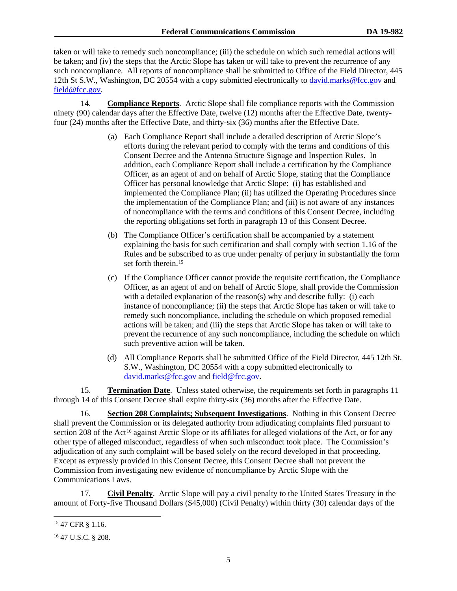taken or will take to remedy such noncompliance; (iii) the schedule on which such remedial actions will be taken; and (iv) the steps that the Arctic Slope has taken or will take to prevent the recurrence of any such noncompliance. All reports of noncompliance shall be submitted to Office of the Field Director, 445 12th St S.W., Washington, DC 20554 with a copy submitted electronically to [david.marks@fcc.gov](mailto:david.marks@fcc.gov) and [field@fcc.gov.](mailto:field@fcc.gov)

<span id="page-6-0"></span>14. **Compliance Reports**. Arctic Slope shall file compliance reports with the Commission ninety (90) calendar days after the Effective Date, twelve (12) months after the Effective Date, twentyfour (24) months after the Effective Date, and thirty-six (36) months after the Effective Date.

- (a) Each Compliance Report shall include a detailed description of Arctic Slope's efforts during the relevant period to comply with the terms and conditions of this Consent Decree and the Antenna Structure Signage and Inspection Rules. In addition, each Compliance Report shall include a certification by the Compliance Officer, as an agent of and on behalf of Arctic Slope, stating that the Compliance Officer has personal knowledge that Arctic Slope: (i) has established and implemented the Compliance Plan; (ii) has utilized the Operating Procedures since the implementation of the Compliance Plan; and (iii) is not aware of any instances of noncompliance with the terms and conditions of this Consent Decree, including the reporting obligations set forth in paragraph [13](#page-5-0) of this Consent Decree.
- (b) The Compliance Officer's certification shall be accompanied by a statement explaining the basis for such certification and shall comply with section 1.16 of the Rules and be subscribed to as true under penalty of perjury in substantially the form set forth therein.<sup>[15](#page-6-1)</sup>
- (c) If the Compliance Officer cannot provide the requisite certification, the Compliance Officer, as an agent of and on behalf of Arctic Slope, shall provide the Commission with a detailed explanation of the reason(s) why and describe fully: (i) each instance of noncompliance; (ii) the steps that Arctic Slope has taken or will take to remedy such noncompliance, including the schedule on which proposed remedial actions will be taken; and (iii) the steps that Arctic Slope has taken or will take to prevent the recurrence of any such noncompliance, including the schedule on which such preventive action will be taken.
- (d) All Compliance Reports shall be submitted Office of the Field Director, 445 12th St. S.W., Washington, DC 20554 with a copy submitted electronically to [david.marks@fcc.gov](mailto:david.marks@fcc.gov) and [field@fcc.gov.](mailto:field@fcc.gov)

15. **Termination Date**. Unless stated otherwise, the requirements set forth in paragraphs [11](#page-4-8)  through [14](#page-6-0) of this Consent Decree shall expire thirty-six (36) months after the Effective Date.

16. **Section 208 Complaints; Subsequent Investigations**. Nothing in this Consent Decree shall prevent the Commission or its delegated authority from adjudicating complaints filed pursuant to section 208 of the Act<sup>[16](#page-6-2)</sup> against Arctic Slope or its affiliates for alleged violations of the Act, or for any other type of alleged misconduct, regardless of when such misconduct took place. The Commission's adjudication of any such complaint will be based solely on the record developed in that proceeding. Except as expressly provided in this Consent Decree, this Consent Decree shall not prevent the Commission from investigating new evidence of noncompliance by Arctic Slope with the Communications Laws.

<span id="page-6-3"></span>17. **Civil Penalty**. Arctic Slope will pay a civil penalty to the United States Treasury in the amount of Forty-five Thousand Dollars (\$45,000) (Civil Penalty) within thirty (30) calendar days of the

<span id="page-6-1"></span> <sup>15</sup> 47 CFR § 1.16.

<span id="page-6-2"></span><sup>16</sup> 47 U.S.C. § 208.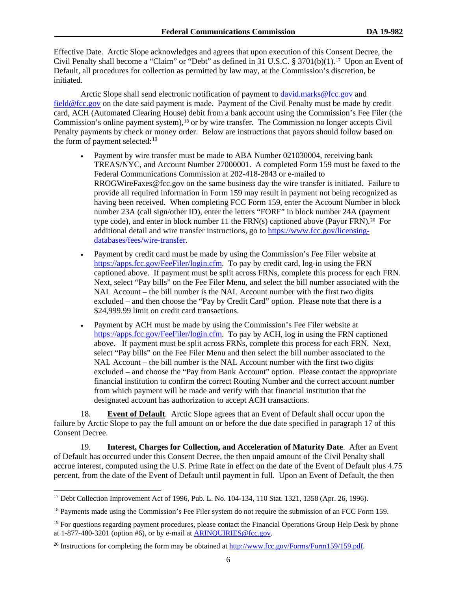Effective Date. Arctic Slope acknowledges and agrees that upon execution of this Consent Decree, the Civil Penalty shall become a "Claim" or "Debt" as defined in 31 U.S.C. § 3701(b)(1).[17](#page-7-0) Upon an Event of Default, all procedures for collection as permitted by law may, at the Commission's discretion, be initiated.

Arctic Slope shall send electronic notification of payment to *[david.marks@fcc.gov](mailto:david.marks@fcc.gov)* and [field@fcc.gov](mailto:field@fcc.gov) on the date said payment is made. Payment of the Civil Penalty must be made by credit card, ACH (Automated Clearing House) debit from a bank account using the Commission's Fee Filer (the Commission's online payment system),<sup>[18](#page-7-1)</sup> or by wire transfer. The Commission no longer accepts Civil Penalty payments by check or money order. Below are instructions that payors should follow based on the form of payment selected:<sup>[19](#page-7-2)</sup>

- Payment by wire transfer must be made to ABA Number 021030004, receiving bank TREAS/NYC, and Account Number 27000001. A completed Form 159 must be faxed to the Federal Communications Commission at 202-418-2843 or e-mailed to RROGWireFaxes@fcc.gov on the same business day the wire transfer is initiated. Failure to provide all required information in Form 159 may result in payment not being recognized as having been received. When completing FCC Form 159, enter the Account Number in block number 23A (call sign/other ID), enter the letters "FORF" in block number 24A (payment type code), and enter in block number 11 the FRN(s) captioned above (Payor FRN).<sup>20</sup> For additional detail and wire transfer instructions, go to [https://www.fcc.gov/licensing](https://www.fcc.gov/licensing-databases/fees/wire-transfer)[databases/fees/wire-transfer.](https://www.fcc.gov/licensing-databases/fees/wire-transfer)
- Payment by credit card must be made by using the Commission's Fee Filer website at [https://apps.fcc.gov/FeeFiler/login.cfm.](https://apps.fcc.gov/FeeFiler/login.cfm) To pay by credit card, log-in using the FRN captioned above. If payment must be split across FRNs, complete this process for each FRN. Next, select "Pay bills" on the Fee Filer Menu, and select the bill number associated with the NAL Account – the bill number is the NAL Account number with the first two digits excluded – and then choose the "Pay by Credit Card" option. Please note that there is a \$24,999.99 limit on credit card transactions.
- Payment by ACH must be made by using the Commission's Fee Filer website at [https://apps.fcc.gov/FeeFiler/login.cfm.](https://apps.fcc.gov/FeeFiler/login.cfm) To pay by ACH, log in using the FRN captioned above. If payment must be split across FRNs, complete this process for each FRN. Next, select "Pay bills" on the Fee Filer Menu and then select the bill number associated to the NAL Account – the bill number is the NAL Account number with the first two digits excluded – and choose the "Pay from Bank Account" option. Please contact the appropriate financial institution to confirm the correct Routing Number and the correct account number from which payment will be made and verify with that financial institution that the designated account has authorization to accept ACH transactions.

18. **Event of Default**. Arctic Slope agrees that an Event of Default shall occur upon the failure by Arctic Slope to pay the full amount on or before the due date specified in paragraph [17](#page-6-3) of this Consent Decree.

19. **Interest, Charges for Collection, and Acceleration of Maturity Date**. After an Event of Default has occurred under this Consent Decree, the then unpaid amount of the Civil Penalty shall accrue interest, computed using the U.S. Prime Rate in effect on the date of the Event of Default plus 4.75 percent, from the date of the Event of Default until payment in full. Upon an Event of Default, the then

<span id="page-7-0"></span><sup>&</sup>lt;sup>17</sup> Debt Collection Improvement Act of 1996, Pub. L. No. 104-134, 110 Stat. 1321, 1358 (Apr. 26, 1996).

<span id="page-7-1"></span> $18$  Payments made using the Commission's Fee Filer system do not require the submission of an FCC Form 159.

<span id="page-7-2"></span><sup>&</sup>lt;sup>19</sup> For questions regarding payment procedures, please contact the Financial Operations Group Help Desk by phone at 1-877-480-3201 (option #6), or by e-mail at [ARINQUIRIES@fcc.gov.](mailto:ARINQUIRIES@fcc.gov)

<span id="page-7-3"></span><sup>&</sup>lt;sup>20</sup> Instructions for completing the form may be obtained at  $\frac{http://www.fcc.gov/Forms/Form159/159.pdf}{http://www.fcc.gov/Forms/Form159/159.pdf}$ .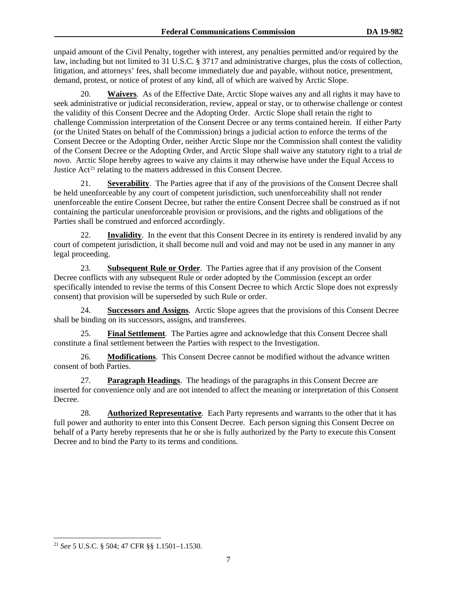unpaid amount of the Civil Penalty, together with interest, any penalties permitted and/or required by the law, including but not limited to 31 U.S.C. § 3717 and administrative charges, plus the costs of collection, litigation, and attorneys' fees, shall become immediately due and payable, without notice, presentment, demand, protest, or notice of protest of any kind, all of which are waived by Arctic Slope.

20. **Waivers**. As of the Effective Date, Arctic Slope waives any and all rights it may have to seek administrative or judicial reconsideration, review, appeal or stay, or to otherwise challenge or contest the validity of this Consent Decree and the Adopting Order. Arctic Slope shall retain the right to challenge Commission interpretation of the Consent Decree or any terms contained herein. If either Party (or the United States on behalf of the Commission) brings a judicial action to enforce the terms of the Consent Decree or the Adopting Order, neither Arctic Slope nor the Commission shall contest the validity of the Consent Decree or the Adopting Order, and Arctic Slope shall waive any statutory right to a trial *de novo*. Arctic Slope hereby agrees to waive any claims it may otherwise have under the Equal Access to Justice Act<sup>[21](#page-8-0)</sup> relating to the matters addressed in this Consent Decree.

21. **Severability**. The Parties agree that if any of the provisions of the Consent Decree shall be held unenforceable by any court of competent jurisdiction, such unenforceability shall not render unenforceable the entire Consent Decree, but rather the entire Consent Decree shall be construed as if not containing the particular unenforceable provision or provisions, and the rights and obligations of the Parties shall be construed and enforced accordingly.

22. **Invalidity**. In the event that this Consent Decree in its entirety is rendered invalid by any court of competent jurisdiction, it shall become null and void and may not be used in any manner in any legal proceeding.

23. **Subsequent Rule or Order**. The Parties agree that if any provision of the Consent Decree conflicts with any subsequent Rule or order adopted by the Commission (except an order specifically intended to revise the terms of this Consent Decree to which Arctic Slope does not expressly consent) that provision will be superseded by such Rule or order.

24. **Successors and Assigns**. Arctic Slope agrees that the provisions of this Consent Decree shall be binding on its successors, assigns, and transferees.

25. **Final Settlement**. The Parties agree and acknowledge that this Consent Decree shall constitute a final settlement between the Parties with respect to the Investigation.

26. **Modifications**. This Consent Decree cannot be modified without the advance written consent of both Parties.

27. **Paragraph Headings**. The headings of the paragraphs in this Consent Decree are inserted for convenience only and are not intended to affect the meaning or interpretation of this Consent Decree.

28. **Authorized Representative**. Each Party represents and warrants to the other that it has full power and authority to enter into this Consent Decree. Each person signing this Consent Decree on behalf of a Party hereby represents that he or she is fully authorized by the Party to execute this Consent Decree and to bind the Party to its terms and conditions.

<span id="page-8-0"></span> <sup>21</sup> *See* 5 U.S.C. § 504; 47 CFR §§ 1.1501–1.1530.